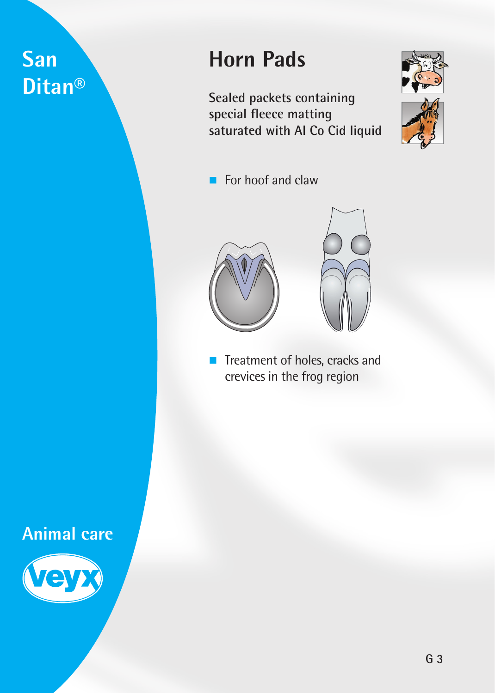# **San Ditan®**

# **Horn Pads**

**Sealed packets containing special fleece matting saturated with Al Co Cid liquid**



 $\blacksquare$  For hoof and claw



**Treatment of holes, cracks and** crevices in the frog region

### **Animal care**

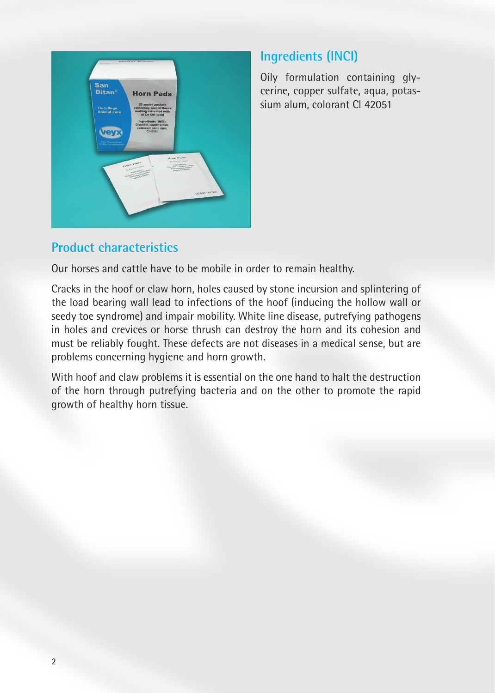

#### **Ingredients (INCI)**

Oily formulation containing glycerine, copper sulfate, aqua, potassium alum, colorant Cl 42051

#### **Product characteristics**

Our horses and cattle have to be mobile in order to remain healthy.

Cracks in the hoof or claw horn, holes caused by stone incursion and splintering of the load bearing wall lead to infections of the hoof (inducing the hollow wall or seedy toe syndrome) and impair mobility. White line disease, putrefying pathogens in holes and crevices or horse thrush can destroy the horn and its cohesion and must be reliably fought. These defects are not diseases in a medical sense, but are problems concerning hygiene and horn growth.

With hoof and claw problems it is essential on the one hand to halt the destruction of the horn through putrefying bacteria and on the other to promote the rapid growth of healthy horn tissue.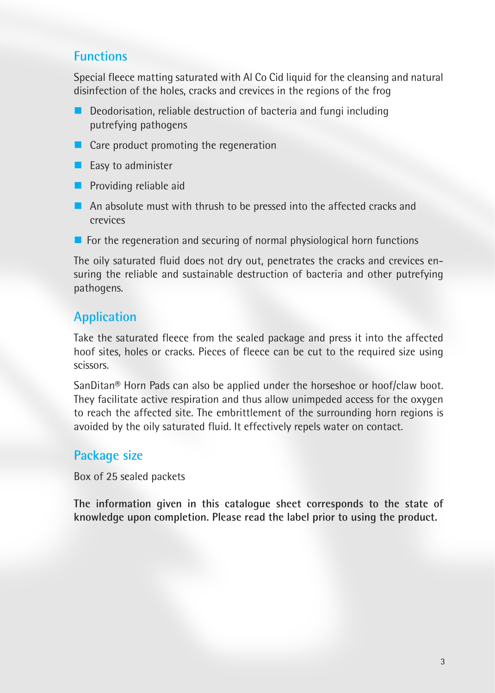#### **Functions**

Special fleece matting saturated with Al Co Cid liquid for the cleansing and natural disinfection of the holes, cracks and crevices in the regions of the frog

- $\blacksquare$  Deodorisation, reliable destruction of bacteria and fungi including putrefying pathogens
- Care product promoting the regeneration
- $\blacksquare$  Easy to administer
- $\blacksquare$  Providing reliable aid
- An absolute must with thrush to be pressed into the affected cracks and crevices
- $\blacksquare$  For the regeneration and securing of normal physiological horn functions

The oily saturated fluid does not dry out, penetrates the cracks and crevices ensuring the reliable and sustainable destruction of bacteria and other putrefying pathogens.

### **Application**

Take the saturated fleece from the sealed package and press it into the affected hoof sites, holes or cracks. Pieces of fleece can be cut to the required size using scissors.

SanDitan® Horn Pads can also be applied under the horseshoe or hoof/claw boot. They facilitate active respiration and thus allow unimpeded access for the oxygen to reach the affected site. The embrittlement of the surrounding horn regions is avoided by the oily saturated fluid. It effectively repels water on contact.

#### **Package size**

Box of 25 sealed packets

**The information given in this catalogue sheet corresponds to the state of knowledge upon completion. Please read the label prior to using the product.**